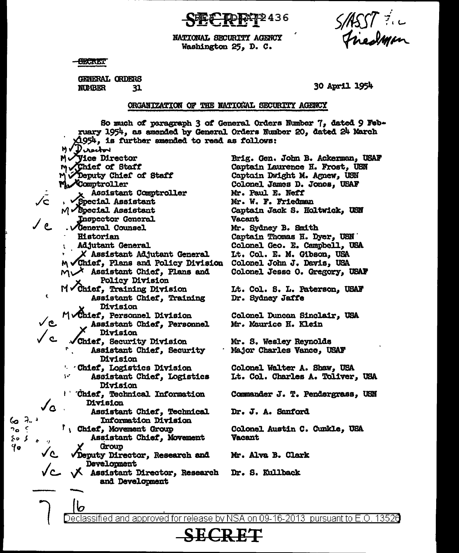2436

S/ASSI ?

NATIONAL SECURITY AGENCY Washington 25, D. C.

- <del>OBCA</del>RET

 $60.7.$ 

າວ ເ

کی ہ⊰

Yo

**GENERAL ORDERS NUMBER** 31

30 April 1954

## ORGANIZATION OF THE NATIONAL SECURITY AGENCY

So much of paragraph 3 of General Orders Number 7, dated 9 February 1954, as amended by General Orders Number 20, dated 24 March  $\triangle$ 954, is further amended to read as follows: MV Derectory Myice Director Brig. Gen. John B. Ackerman, USAF Movement of Staff Captain Laurence H. Frost, USN Deputy Chief of Staff Captain Dwight M. Agnew, USN My Comptroller Colonel James D. Jones, USAF Mr. Paul E. Neff Assistant Comptroller Mr. W. F. Friedman Special Assistant  $M$  Special Assistant Captain Jack S. Holtwick, USN **Inspector General Vacant** . **General** Counsel Mr. Sydney B. Smith Historian Captain Thomas H. Dyer, USN **Adjutant General** Colonel Geo. E. Campbell, USA X Assistant Adjutant General Lt. Col. E. M. Gibson, USA M Chief, Plans and Policy Division Colonel John J. Davis, USA  $M \vee X$  Assistant Chief, Plans and Colonel Jesse O. Gregory, USAF **Policy Division** Modief, Training Division Lt. Col. S. L. Paterson, USAF  $\epsilon$ Assistant Chief, Training Dr. Sydney Jaffe Division MyChief, Personnel Division Colonel Duncan Sinclair, USA Assistant Chief, Personnel Mr. Maurice H. Klein Division ່ເ Chief, Security Division Mr. S. Wesley Reynolds Assistant Chief, Security Major Charles Vance, USAF Division Chief, Logistics Division Colonel Walter A. Shaw, USA Assistant Chief, Logistics Lt. Col. Charles A. Toliver, USA Division ' 'Chief, Technical Information Commander J. T. Pendergrass, USN Division  $J_{\Omega}$ Assistant Chief, Technical Dr. J. A. Sanford Information Division I Chief, Movement Group Colonel Austin C. Cunkle, USA Assistant Chief, Movement **Vacant** Group Deputy Director, Research and Mr. Alva B. Clark Development X Assistant Director, Research Dr. S. Kullback and Development

Declassified and approved for release by NSA on 09-16-2013  $\,$  pursuant to E.O.  $\,$ 13526